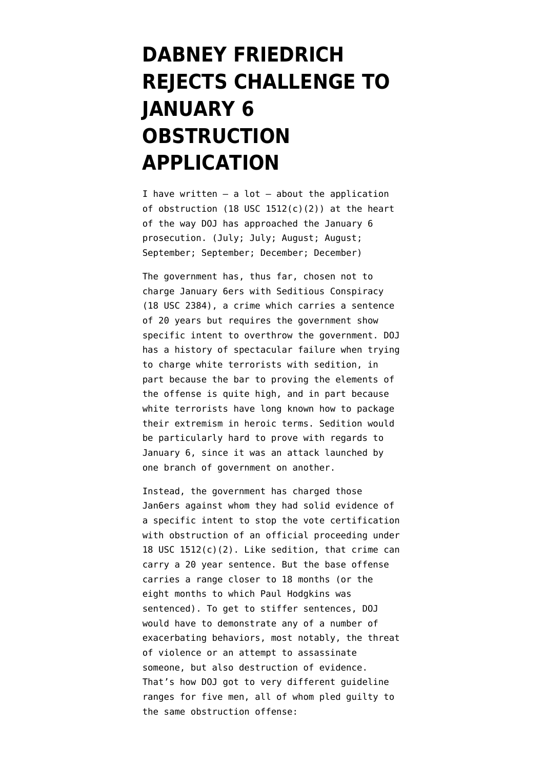## **[DABNEY FRIEDRICH](https://www.emptywheel.net/2021/12/11/dabney-friedrich-rejects-challenge-to-january-6-obstruction-application/) [REJECTS CHALLENGE TO](https://www.emptywheel.net/2021/12/11/dabney-friedrich-rejects-challenge-to-january-6-obstruction-application/) [JANUARY 6](https://www.emptywheel.net/2021/12/11/dabney-friedrich-rejects-challenge-to-january-6-obstruction-application/) [OBSTRUCTION](https://www.emptywheel.net/2021/12/11/dabney-friedrich-rejects-challenge-to-january-6-obstruction-application/) [APPLICATION](https://www.emptywheel.net/2021/12/11/dabney-friedrich-rejects-challenge-to-january-6-obstruction-application/)**

I have written  $-$  a lot  $-$  about the application of obstruction (18 USC  $1512(c)(2)$ ) at the heart of the way DOJ has approached the January 6 prosecution. [\(July;](https://www.emptywheel.net/2021/07/17/on-the-upcoming-sentencing-for-the-first-january-6-felony-defendant-paul-hodgkins/) [July;](https://www.emptywheel.net/2021/07/27/like-all-his-co-conspirators-donald-trump-would-be-charged-for-obstruction-not-incitement/) [August;](https://www.emptywheel.net/2021/08/04/leave-the-rest-to-me-and-the-r-congressmen-trumps-big-lie-and-the-actual-harm-of-january-6-obstruction/) [August;](https://www.emptywheel.net/2021/08/19/how-a-trump-prosecution-for-january-6-would-work/) [September;](https://www.emptywheel.net/2021/09/04/how-jacob-chansley-proved-patrick-leduc-right/) [September](https://www.emptywheel.net/2021/09/08/doj-gets-closer-to-argue-terrorizing-congress-amounts-to-obstruction/); [December;](https://www.emptywheel.net/2021/12/03/ten-things-tv-lawyers-can-do-rather-than-whinging-about-merrick-garland/) [December\)](https://www.emptywheel.net/2021/12/08/a-taxonomy-of-the-visible-january-6-crime-scene-investigation/)

The government has, thus far, chosen not to charge January 6ers with Seditious Conspiracy ([18 USC 2384](https://www.law.cornell.edu/uscode/text/18/2384)), a crime which carries a sentence of 20 years but requires the government show specific intent to overthrow the government. DOJ has a [history of spectacular failure](https://www.emptywheel.net/2012/03/27/the-wmd-charges-against-white-people-get-thrown-out/) when trying to charge white terrorists with sedition, in part because the bar to proving the elements of the offense is quite high, and in part because white terrorists have long known how to package their extremism in heroic terms. Sedition would be particularly hard to prove with regards to January 6, since it was an attack launched by one branch of government on another.

Instead, the government has charged those Jan6ers against whom they had solid evidence of a specific intent to stop the vote certification with obstruction of an official proceeding under 18 USC 1512(c)(2). Like sedition, that crime can carry a 20 year sentence. But the base offense carries a range closer to 18 months (or the eight months to which Paul Hodgkins was sentenced). To get to stiffer sentences, DOJ would have to demonstrate any of a number of exacerbating behaviors, most notably, the threat of violence or an attempt to assassinate someone, but also destruction of evidence. That's how DOJ [got to very different guideline](https://www.emptywheel.net/2021/09/04/how-jacob-chansley-proved-patrick-leduc-right/) [ranges](https://www.emptywheel.net/2021/09/04/how-jacob-chansley-proved-patrick-leduc-right/) for five men, all of whom pled guilty to the same obstruction offense: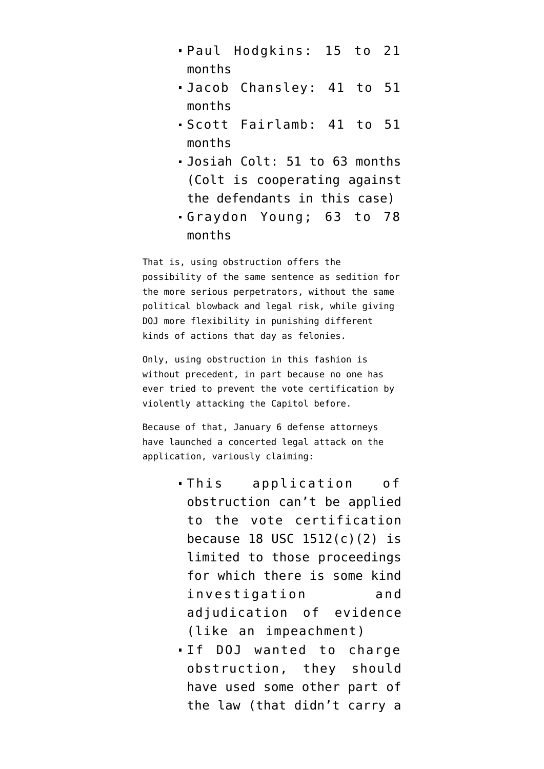- [Paul Hodgkins](https://www.emptywheel.net/2021/06/02/paul-hodgkins-pleads-guilty-to-obstruction/): 15 to 21 months
- [Jacob Chansley:](https://storage.courtlistener.com/recap/gov.uscourts.dcd.225845/gov.uscourts.dcd.225845.69.0_3.pdf) 41 to 51 months
- [Scott Fairlamb:](https://www.justice.gov/usao-dc/press-release/file/1422301/download) 41 to 51 months
- [Josiah Colt](https://s3.documentcloud.org/documents/21016788/7-26-21-josiah-colt-plea-agreement.pdf): 51 to 63 months (Colt is cooperating against the defendants in this case)
- [Graydon Young](https://www.emptywheel.net/2021/06/24/statements-of-offense-doj-is-not-telling-stories/); 63 to 78 months

That is, using obstruction offers the possibility of the same sentence as sedition for the more serious perpetrators, without the same political blowback and legal risk, while giving DOJ more flexibility in punishing different kinds of actions that day as felonies.

Only, using obstruction in this fashion is without precedent, in part because no one has ever tried to prevent the vote certification by violently attacking the Capitol before.

Because of that, January 6 defense attorneys have launched a concerted legal attack on the application, variously claiming:

- This application of obstruction can't be applied to the vote certification because 18 USC 1512(c)(2) is limited to those proceedings for which there is some kind investigation and adjudication of evidence (like an impeachment)
- If DOJ wanted to charge obstruction, they should have used some other part of the law (that didn't carry a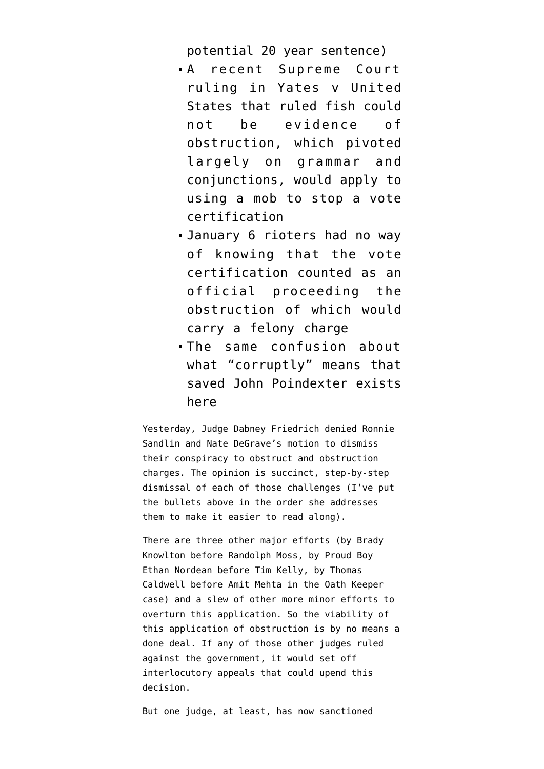potential 20 year sentence)

- A recent Supreme Court ruling in [Yates v United](https://www.oyez.org/cases/2014/13-7451) [States](https://www.oyez.org/cases/2014/13-7451) that ruled fish could not be evidence of obstruction, which pivoted largely on grammar and conjunctions, would apply to using a mob to stop a vote certification
- January 6 rioters had no way of knowing that the vote certification counted as an official proceeding the obstruction of which would carry a felony charge
- The same confusion about what "corruptly" means that [saved John Poindexter](https://casetext.com/case/us-v-poindexter-17) exists here

Yesterday, Judge Dabney Friedrich [denied](https://storage.courtlistener.com/recap/gov.uscourts.dcd.227256/gov.uscourts.dcd.227256.63.0.pdf) Ronnie Sandlin and Nate DeGrave's motion to dismiss their [conspiracy to obstruct and obstruction](https://storage.courtlistener.com/recap/gov.uscourts.dcd.227256/gov.uscourts.dcd.227256.46.0.pdf) [charges.](https://storage.courtlistener.com/recap/gov.uscourts.dcd.227256/gov.uscourts.dcd.227256.46.0.pdf) The opinion is succinct, step-by-step dismissal of each of those challenges (I've put the bullets above in the order she addresses them to make it easier to read along).

There are three other major efforts (by Brady Knowlton before Randolph Moss, by Proud Boy Ethan Nordean before Tim Kelly, by Thomas Caldwell before Amit Mehta in the Oath Keeper case) and a slew of other more minor efforts to overturn this application. So the viability of this application of obstruction is by no means a done deal. If any of those other judges ruled against the government, it would set off interlocutory appeals that could upend this decision.

But one judge, at least, has now sanctioned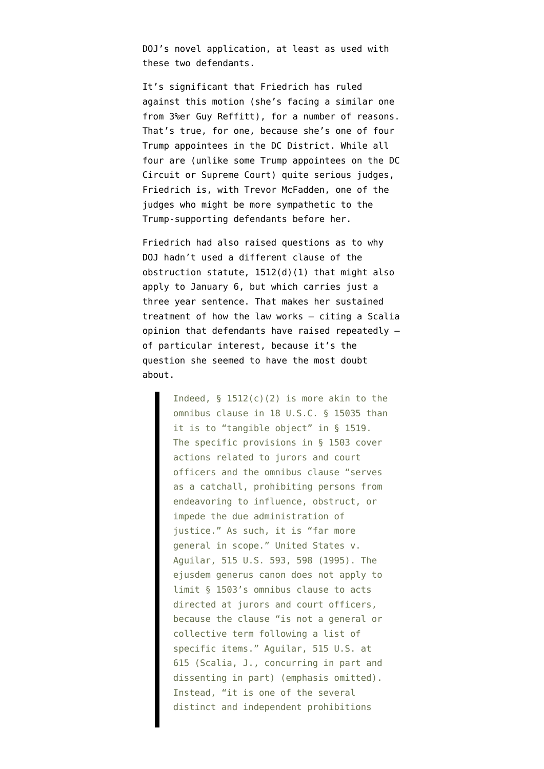DOJ's novel application, at least as used with these two defendants.

It's significant that Friedrich has ruled against this motion (she's facing a similar one from 3%er Guy Reffitt), for a number of reasons. That's true, for one, because she's one of four Trump appointees in the DC District. While all four are (unlike some Trump appointees on the DC Circuit or Supreme Court) quite serious judges, Friedrich is, with Trevor McFadden, one of the judges who might be more sympathetic to the Trump-supporting defendants before her.

Friedrich had also raised questions as to why DOJ hadn't used a different clause of the obstruction statute, 1512(d)(1) that might also apply to January 6, but which carries just a three year sentence. That makes her sustained treatment of how the law works — citing a Scalia opinion that defendants have raised repeatedly of particular interest, because it's the question she seemed to have the most doubt about.

> Indeed,  $\S$  1512(c)(2) is more akin to the omnibus clause in 18 U.S.C. § 15035 than it is to "tangible object" in § 1519. The specific provisions in § 1503 cover actions related to jurors and court officers and the omnibus clause "serves as a catchall, prohibiting persons from endeavoring to influence, obstruct, or impede the due administration of justice." As such, it is "far more general in scope." United States v. Aguilar, 515 U.S. 593, 598 (1995). The ejusdem generus canon does not apply to limit § 1503's omnibus clause to acts directed at jurors and court officers, because the clause "is not a general or collective term following a list of specific items." Aguilar, 515 U.S. at 615 (Scalia, J., concurring in part and dissenting in part) (emphasis omitted). Instead, "it is one of the several distinct and independent prohibitions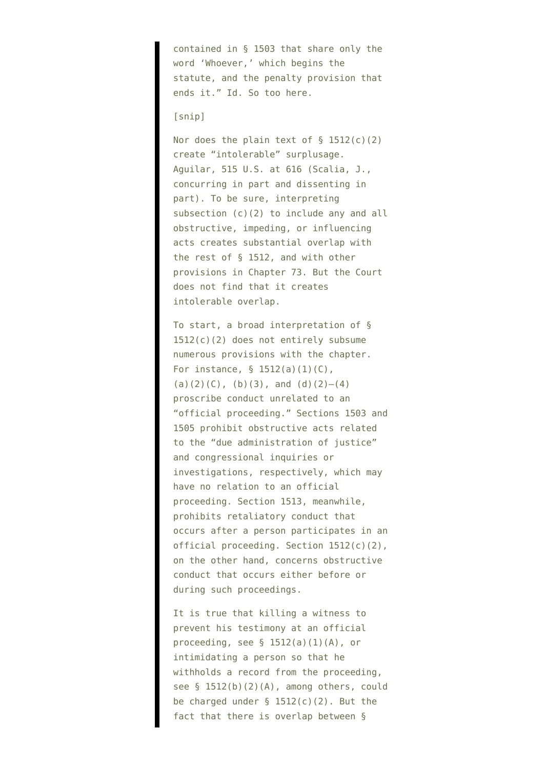contained in § 1503 that share only the word 'Whoever,' which begins the statute, and the penalty provision that ends it." Id. So too here.

## [snip]

Nor does the plain text of  $\S$  1512(c)(2) create "intolerable" surplusage. Aguilar, 515 U.S. at 616 (Scalia, J., concurring in part and dissenting in part). To be sure, interpreting subsection (c)(2) to include any and all obstructive, impeding, or influencing acts creates substantial overlap with the rest of § 1512, and with other provisions in Chapter 73. But the Court does not find that it creates intolerable overlap.

To start, a broad interpretation of § 1512(c)(2) does not entirely subsume numerous provisions with the chapter. For instance, § 1512(a)(1)(C), (a)(2)(C), (b)(3), and (d)(2)-(4) proscribe conduct unrelated to an "official proceeding." Sections 1503 and 1505 prohibit obstructive acts related to the "due administration of justice" and congressional inquiries or investigations, respectively, which may have no relation to an official proceeding. Section 1513, meanwhile, prohibits retaliatory conduct that occurs after a person participates in an official proceeding. Section 1512(c)(2), on the other hand, concerns obstructive conduct that occurs either before or during such proceedings.

It is true that killing a witness to prevent his testimony at an official proceeding, see  $\S$  1512(a)(1)(A), or intimidating a person so that he withholds a record from the proceeding, see § 1512(b)(2)(A), among others, could be charged under  $\S$  1512(c)(2). But the fact that there is overlap between §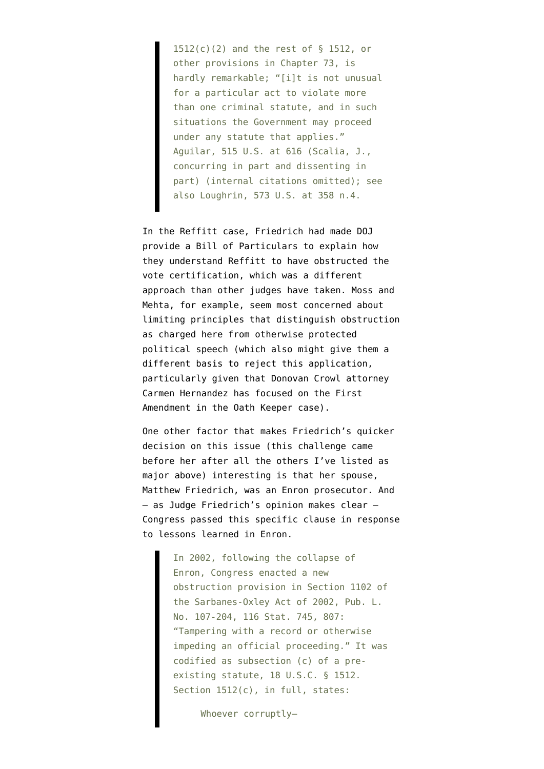1512(c)(2) and the rest of § 1512, or other provisions in Chapter 73, is hardly remarkable; "[i]t is not unusual for a particular act to violate more than one criminal statute, and in such situations the Government may proceed under any statute that applies." Aguilar, 515 U.S. at 616 (Scalia, J., concurring in part and dissenting in part) (internal citations omitted); see also Loughrin, 573 U.S. at 358 n.4.

In the Reffitt case, Friedrich had made DOJ provide a Bill of Particulars to explain how they understand Reffitt to have obstructed the vote certification, which was a different approach than other judges have taken. Moss and Mehta, for example, seem most concerned about limiting principles that distinguish obstruction as charged here from otherwise protected political speech (which also might give them a different basis to reject this application, particularly given that Donovan Crowl attorney Carmen Hernandez has focused on the First Amendment in the Oath Keeper case).

One other factor that makes Friedrich's quicker decision on this issue (this challenge came before her after all the others I've listed as major above) interesting is that [her spouse](https://www.nytimes.com/2001/01/21/style/weddings-dabney-langhorne-matthew-friedrich.html), Matthew Friedrich, [was an Enron prosecutor](https://www.justice.gov/archive/opa/pr/2004/March/04_crm_127.htm). And — as Judge Friedrich's opinion makes clear — Congress passed this specific clause in response to lessons learned in Enron.

> In 2002, following the collapse of Enron, Congress enacted a new obstruction provision in Section 1102 of the Sarbanes-Oxley Act of 2002, Pub. L. No. 107-204, 116 Stat. 745, 807: "Tampering with a record or otherwise impeding an official proceeding." It was codified as subsection (c) of a preexisting statute, 18 U.S.C. § 1512. Section 1512(c), in full, states:

> > Whoever corruptly—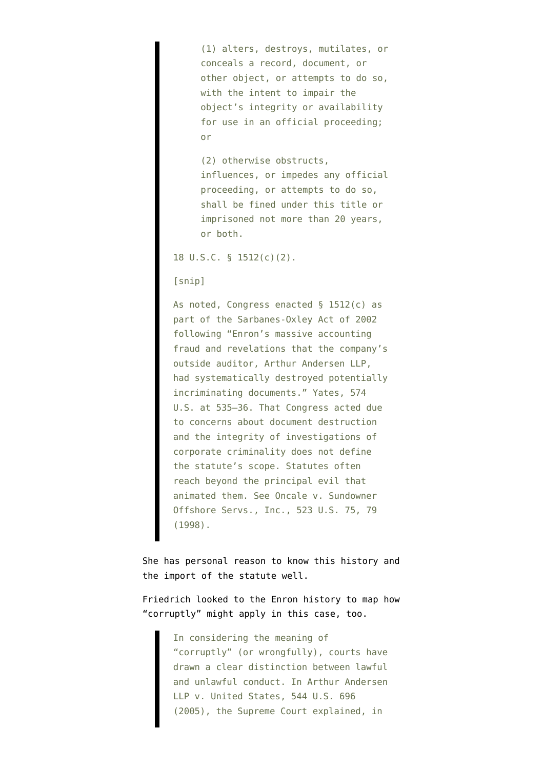(1) alters, destroys, mutilates, or conceals a record, document, or other object, or attempts to do so, with the intent to impair the object's integrity or availability for use in an official proceeding; or

(2) otherwise obstructs, influences, or impedes any official proceeding, or attempts to do so, shall be fined under this title or imprisoned not more than 20 years, or both.

18 U.S.C. § 1512(c)(2).

[snip]

As noted, Congress enacted § 1512(c) as part of the Sarbanes-Oxley Act of 2002 following "Enron's massive accounting fraud and revelations that the company's outside auditor, Arthur Andersen LLP, had systematically destroyed potentially incriminating documents." Yates, 574 U.S. at 535–36. That Congress acted due to concerns about document destruction and the integrity of investigations of corporate criminality does not define the statute's scope. Statutes often reach beyond the principal evil that animated them. See Oncale v. Sundowner Offshore Servs., Inc., 523 U.S. 75, 79 (1998).

She has personal reason to know this history and the import of the statute well.

Friedrich looked to the Enron history to map how "corruptly" might apply in this case, too.

> In considering the meaning of "corruptly" (or wrongfully), courts have drawn a clear distinction between lawful and unlawful conduct. In Arthur Andersen LLP v. United States, 544 U.S. 696 (2005), the Supreme Court explained, in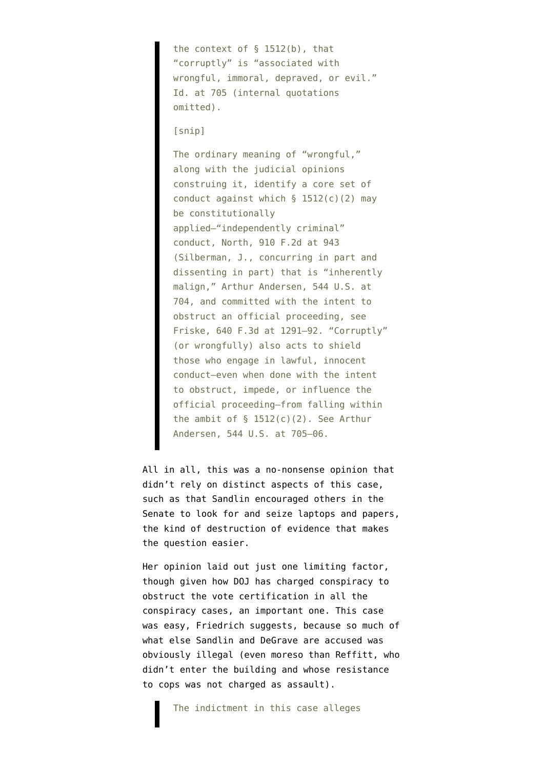the context of  $\S$  1512(b), that "corruptly" is "associated with wrongful, immoral, depraved, or evil." Id. at 705 (internal quotations omitted).

[snip]

The ordinary meaning of "wrongful," along with the judicial opinions construing it, identify a core set of conduct against which § 1512(c)(2) may be constitutionally applied—"independently criminal" conduct, North, 910 F.2d at 943 (Silberman, J., concurring in part and dissenting in part) that is "inherently malign," Arthur Andersen, 544 U.S. at 704, and committed with the intent to obstruct an official proceeding, see Friske, 640 F.3d at 1291–92. "Corruptly" (or wrongfully) also acts to shield those who engage in lawful, innocent conduct—even when done with the intent to obstruct, impede, or influence the official proceeding—from falling within the ambit of  $\S$  1512(c)(2). See Arthur Andersen, 544 U.S. at 705–06.

All in all, this was a no-nonsense opinion that didn't rely on distinct aspects of this case, such as that Sandlin encouraged others in the Senate to look for and seize laptops and papers, the kind of destruction of evidence that makes the question easier.

Her opinion laid out just one limiting factor, though given how DOJ has charged conspiracy to obstruct the vote certification in all the conspiracy cases, an important one. This case was easy, Friedrich suggests, because so much of what else Sandlin and DeGrave are accused was obviously illegal (even moreso than Reffitt, who didn't enter the building and [whose resistance](https://storage.courtlistener.com/recap/gov.uscourts.dcd.226696/gov.uscourts.dcd.226696.34.0_1.pdf) [to cops](https://storage.courtlistener.com/recap/gov.uscourts.dcd.226696/gov.uscourts.dcd.226696.34.0_1.pdf) was not charged as assault).

The indictment in this case alleges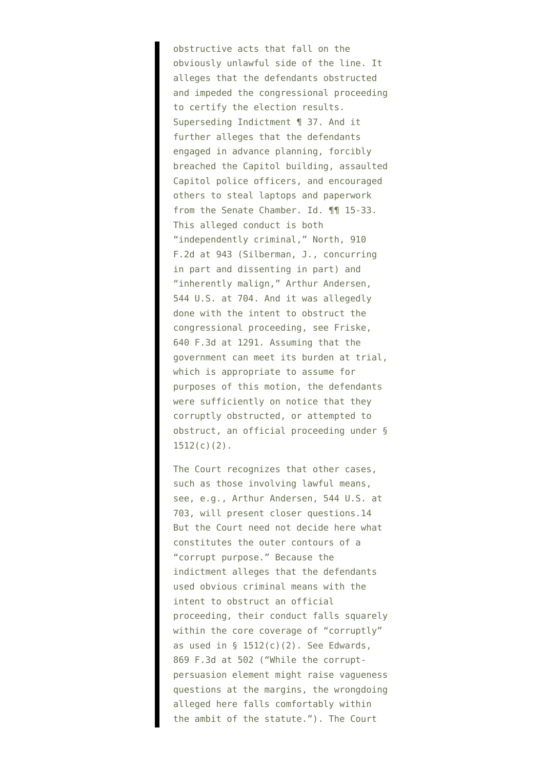obstructive acts that fall on the obviously unlawful side of the line. It alleges that the defendants obstructed and impeded the congressional proceeding to certify the election results. Superseding Indictment ¶ 37. And it further alleges that the defendants engaged in advance planning, forcibly breached the Capitol building, assaulted Capitol police officers, and encouraged others to steal laptops and paperwork from the Senate Chamber. Id. ¶¶ 15-33. This alleged conduct is both "independently criminal," North, 910 F.2d at 943 (Silberman, J., concurring in part and dissenting in part) and "inherently malign," Arthur Andersen, 544 U.S. at 704. And it was allegedly done with the intent to obstruct the congressional proceeding, see Friske, 640 F.3d at 1291. Assuming that the government can meet its burden at trial, which is appropriate to assume for purposes of this motion, the defendants were sufficiently on notice that they corruptly obstructed, or attempted to obstruct, an official proceeding under §  $1512(c)(2)$ .

The Court recognizes that other cases, such as those involving lawful means, see, e.g., Arthur Andersen, 544 U.S. at 703, will present closer questions.14 But the Court need not decide here what constitutes the outer contours of a "corrupt purpose." Because the indictment alleges that the defendants used obvious criminal means with the intent to obstruct an official proceeding, their conduct falls squarely within the core coverage of "corruptly" as used in  $\S$  1512(c)(2). See Edwards, 869 F.3d at 502 ("While the corruptpersuasion element might raise vagueness questions at the margins, the wrongdoing alleged here falls comfortably within the ambit of the statute."). The Court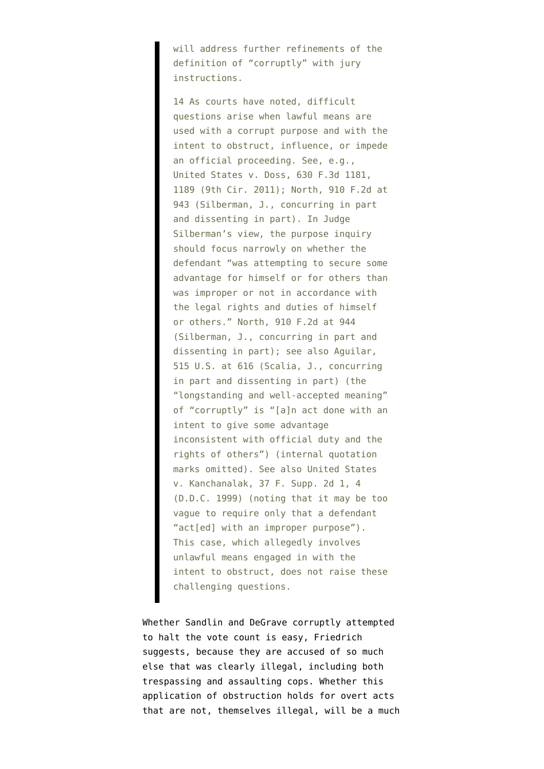will address further refinements of the definition of "corruptly" with jury instructions.

14 As courts have noted, difficult questions arise when lawful means are used with a corrupt purpose and with the intent to obstruct, influence, or impede an official proceeding. See, e.g., United States v. Doss, 630 F.3d 1181, 1189 (9th Cir. 2011); North, 910 F.2d at 943 (Silberman, J., concurring in part and dissenting in part). In Judge Silberman's view, the purpose inquiry should focus narrowly on whether the defendant "was attempting to secure some advantage for himself or for others than was improper or not in accordance with the legal rights and duties of himself or others." North, 910 F.2d at 944 (Silberman, J., concurring in part and dissenting in part); see also Aguilar, 515 U.S. at 616 (Scalia, J., concurring in part and dissenting in part) (the "longstanding and well-accepted meaning" of "corruptly" is "[a]n act done with an intent to give some advantage inconsistent with official duty and the rights of others") (internal quotation marks omitted). See also United States v. Kanchanalak, 37 F. Supp. 2d 1, 4 (D.D.C. 1999) (noting that it may be too vague to require only that a defendant "act[ed] with an improper purpose"). This case, which allegedly involves unlawful means engaged in with the intent to obstruct, does not raise these challenging questions.

Whether Sandlin and DeGrave corruptly attempted to halt the vote count is easy, Friedrich suggests, because they are accused of so much else that was clearly illegal, including both trespassing and assaulting cops. Whether this application of obstruction holds for overt acts that are not, themselves illegal, will be a much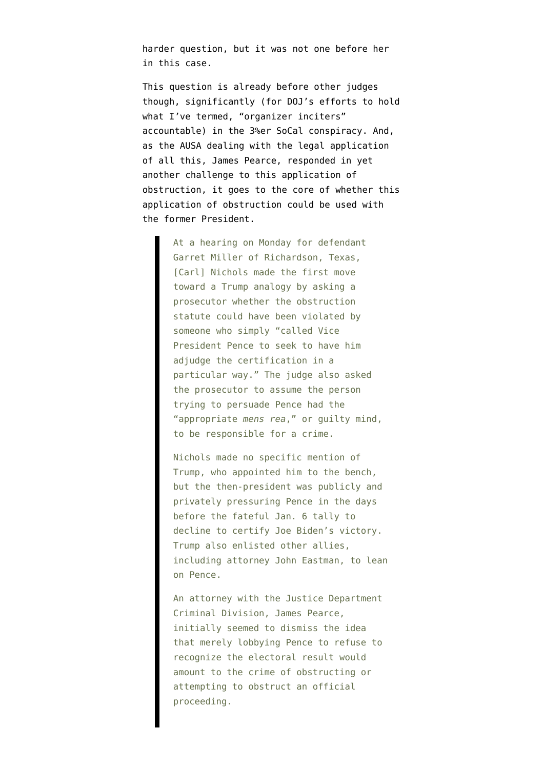harder question, but it was not one before her in this case.

This question is already before other judges though, significantly (for DOJ's efforts to hold [what I've termed, "organizer inciters"](https://www.emptywheel.net/2021/12/08/a-taxonomy-of-the-visible-january-6-crime-scene-investigation/) accountable) in the 3%er SoCal conspiracy. And, as the AUSA dealing with the legal application of all this, James Pearce, [responded](https://www.politico.com/news/2021/11/22/capitol-riot-trump-523211) in yet another challenge to this application of obstruction, it goes to the core of whether this application of obstruction could be used with the former President.

> At a hearing on Monday for defendant Garret Miller of Richardson, Texas, [Carl] Nichols made the first move toward a Trump analogy by asking a prosecutor whether the obstruction statute could have been violated by someone who simply "called Vice President Pence to seek to have him adjudge the certification in a particular way." The judge also asked the prosecutor to assume the person trying to persuade Pence had the "appropriate *mens rea*," or guilty mind, to be responsible for a crime.

Nichols made no specific mention of Trump, who appointed him to the bench, but the then-president was publicly and privately pressuring Pence in the days before the fateful Jan. 6 tally to decline to certify Joe Biden's victory. Trump also enlisted other allies, including attorney John Eastman, to lean on Pence.

An attorney with the Justice Department Criminal Division, James Pearce, initially seemed to dismiss the idea that merely lobbying Pence to refuse to recognize the electoral result would amount to the crime of obstructing or attempting to obstruct an official proceeding.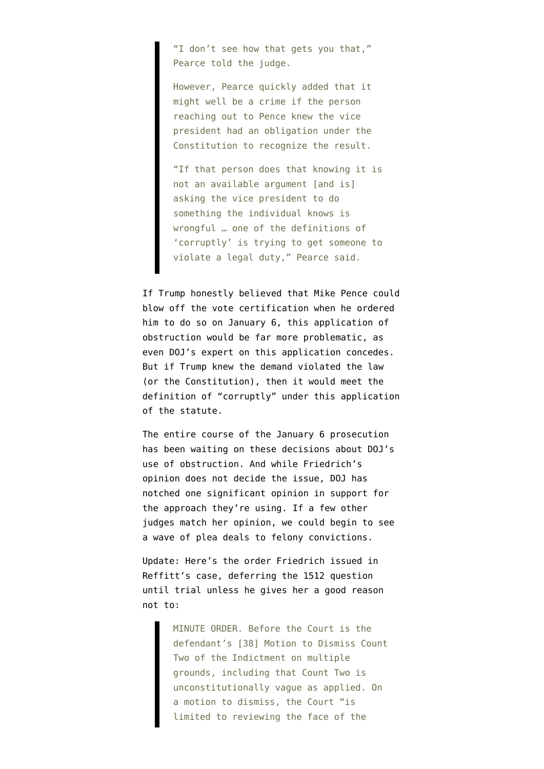"I don't see how that gets you that," Pearce told the judge.

However, Pearce quickly added that it might well be a crime if the person reaching out to Pence knew the vice president had an obligation under the Constitution to recognize the result.

"If that person does that knowing it is not an available argument [and is] asking the vice president to do something the individual knows is wrongful … one of the definitions of 'corruptly' is trying to get someone to violate a legal duty," Pearce said.

If Trump honestly believed that Mike Pence could blow off the vote certification when he ordered him to do so on January 6, this application of obstruction would be far more problematic, as even DOJ's expert on this application concedes. But if Trump knew the demand violated the law (or the Constitution), then it would meet the definition of "corruptly" under this application of the statute.

The entire course of the January 6 prosecution has been waiting on these decisions about DOJ's use of obstruction. And while Friedrich's opinion does not decide the issue, DOJ has notched one significant opinion in support for the approach they're using. If a few other judges match her opinion, we could begin to see a wave of plea deals to felony convictions.

Update: Here's the order Friedrich issued in Reffitt's case, deferring the 1512 question until trial unless he gives her a good reason not to:

> MINUTE ORDER. Before the Court is the defendant's [38] Motion to Dismiss Count Two of the Indictment on multiple grounds, including that Count Two is unconstitutionally vague as applied. On a motion to dismiss, the Court "is limited to reviewing the face of the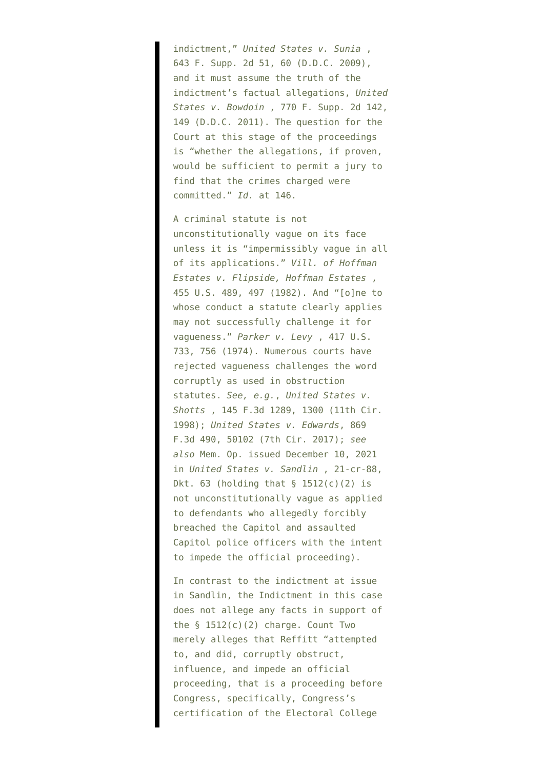indictment," *United States v. Sunia* , 643 F. Supp. 2d 51, 60 (D.D.C. 2009), and it must assume the truth of the indictment's factual allegations, *United States v. Bowdoin* , 770 F. Supp. 2d 142, 149 (D.D.C. 2011). The question for the Court at this stage of the proceedings is "whether the allegations, if proven, would be sufficient to permit a jury to find that the crimes charged were committed." *Id.* at 146.

A criminal statute is not unconstitutionally vague on its face unless it is "impermissibly vague in all of its applications." *Vill. of Hoffman Estates v. Flipside, Hoffman Estates* , 455 U.S. 489, 497 (1982). And "[o]ne to whose conduct a statute clearly applies may not successfully challenge it for vagueness." *Parker v. Levy* , 417 U.S. 733, 756 (1974). Numerous courts have rejected vagueness challenges the word corruptly as used in obstruction statutes. *See, e.g.*, *United States v. Shotts* , 145 F.3d 1289, 1300 (11th Cir. 1998); *United States v. Edwards*, 869 F.3d 490, 50102 (7th Cir. 2017); *see also* Mem. Op. issued December 10, 2021 in *United States v. Sandlin* , 21-cr-88, Dkt.  $63$  (holding that  $§$  1512(c)(2) is not unconstitutionally vague as applied to defendants who allegedly forcibly breached the Capitol and assaulted Capitol police officers with the intent to impede the official proceeding).

In contrast to the indictment at issue in Sandlin, the Indictment in this case does not allege any facts in support of the § 1512(c)(2) charge. Count Two merely alleges that Reffitt "attempted to, and did, corruptly obstruct, influence, and impede an official proceeding, that is a proceeding before Congress, specifically, Congress's certification of the Electoral College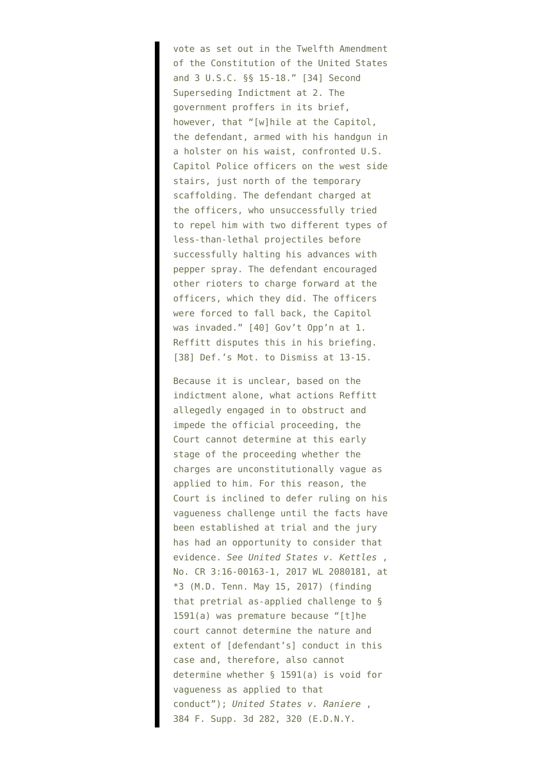vote as set out in the Twelfth Amendment of the Constitution of the United States and 3 U.S.C. §§ 15-18." [34] Second Superseding Indictment at 2. The government proffers in its brief, however, that "[w]hile at the Capitol, the defendant, armed with his handgun in a holster on his waist, confronted U.S. Capitol Police officers on the west side stairs, just north of the temporary scaffolding. The defendant charged at the officers, who unsuccessfully tried to repel him with two different types of less-than-lethal projectiles before successfully halting his advances with pepper spray. The defendant encouraged other rioters to charge forward at the officers, which they did. The officers were forced to fall back, the Capitol was invaded." [40] Gov't Opp'n at 1. Reffitt disputes this in his briefing. [38] Def.'s Mot. to Dismiss at 13-15.

Because it is unclear, based on the indictment alone, what actions Reffitt allegedly engaged in to obstruct and impede the official proceeding, the Court cannot determine at this early stage of the proceeding whether the charges are unconstitutionally vague as applied to him. For this reason, the Court is inclined to defer ruling on his vagueness challenge until the facts have been established at trial and the jury has had an opportunity to consider that evidence. *See United States v. Kettles* , No. CR 3:16-00163-1, 2017 WL 2080181, at \*3 (M.D. Tenn. May 15, 2017) (finding that pretrial as-applied challenge to § 1591(a) was premature because "[t]he court cannot determine the nature and extent of [defendant's] conduct in this case and, therefore, also cannot determine whether § 1591(a) is void for vagueness as applied to that conduct"); *United States v. Raniere* , 384 F. Supp. 3d 282, 320 (E.D.N.Y.